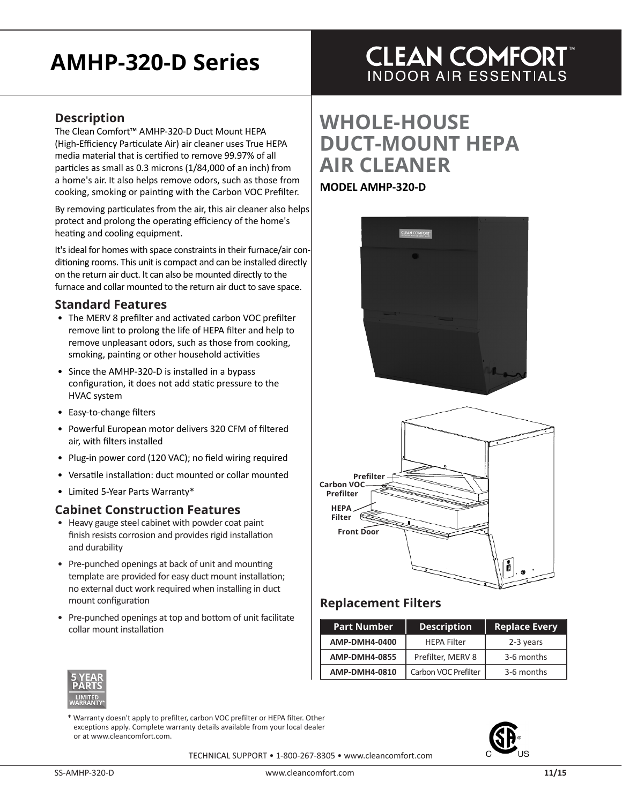# **AMHP-320-D Series**

### **Description**

The Clean Comfort™ AMHP-320-D Duct Mount HEPA (High-Efficiency Particulate Air) air cleaner uses True HEPA media material that is certified to remove 99.97% of all particles as small as 0.3 microns (1/84,000 of an inch) from a home's air. It also helps remove odors, such as those from cooking, smoking or painting with the Carbon VOC Prefilter.

By removing particulates from the air, this air cleaner also helps protect and prolong the operating efficiency of the home's heating and cooling equipment.

It's ideal for homes with space constraints in their furnace/air conditioning rooms. This unit is compact and can be installed directly on the return air duct. It can also be mounted directly to the furnace and collar mounted to the return air duct to save space.

#### **Standard Features**

- The MERV 8 prefilter and activated carbon VOC prefilter remove lint to prolong the life of HEPA filter and help to remove unpleasant odors, such as those from cooking, smoking, painting or other household activities
- Since the AMHP-320-D is installed in a bypass configuration, it does not add static pressure to the HVAC system
- Easy-to-change filters
- Powerful European motor delivers 320 CFM of filtered air, with filters installed
- Plug-in power cord (120 VAC); no field wiring required
- Versatile installation: duct mounted or collar mounted
- Limited 5-Year Parts Warranty\*

### **Cabinet Construction Features**

- Heavy gauge steel cabinet with powder coat paint finish resists corrosion and provides rigid installation and durability
- Pre-punched openings at back of unit and mounting template are provided for easy duct mount installation; no external duct work required when installing in duct mount configuration
- Pre-punched openings at top and bottom of unit facilitate collar mount installation

### **CLEAN COMFORT INDOOR AIR ESSENTIALS**

## **WHOLE-HOUSE DUCT-MOUNT HEPA AIR CLEANER**

#### **MODEL AMHP-320-D**





### **Replacement Filters**

| <b>Part Number</b>   | <b>Description</b>   | <b>Replace Every</b> |
|----------------------|----------------------|----------------------|
| AMP-DMH4-0400        | <b>HEPA Filter</b>   | 2-3 years            |
| <b>AMP-DMH4-0855</b> | Prefilter, MERV 8    | 3-6 months           |
| AMP-DMH4-0810        | Carbon VOC Prefilter | 3-6 months           |



\* Warranty doesn't apply to prefilter, carbon VOC prefilter or HEPA filter. Other exceptions apply. Complete warranty details available from your local dealer or at www.cleancomfort.com.



TECHNICAL SUPPORT • 1-800-267-8305 • www.cleancomfort.com